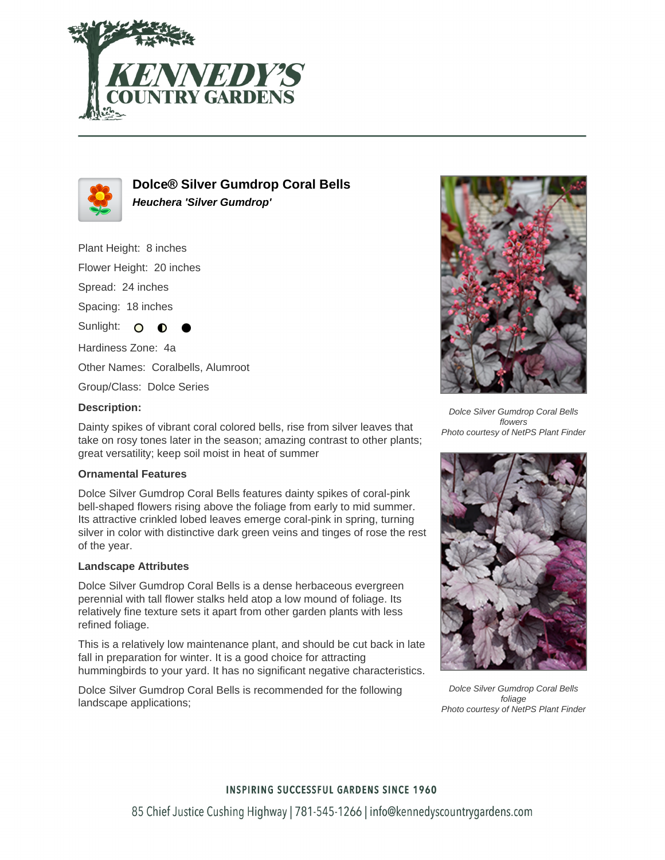



# **Dolce® Silver Gumdrop Coral Bells Heuchera 'Silver Gumdrop'**

Plant Height: 8 inches

Flower Height: 20 inches

Spread: 24 inches

Spacing: 18 inches

Sunlight: O

Hardiness Zone: 4a

Other Names: Coralbells, Alumroot

Group/Class: Dolce Series

#### **Description:**

Dainty spikes of vibrant coral colored bells, rise from silver leaves that take on rosy tones later in the season; amazing contrast to other plants; great versatility; keep soil moist in heat of summer

### **Ornamental Features**

Dolce Silver Gumdrop Coral Bells features dainty spikes of coral-pink bell-shaped flowers rising above the foliage from early to mid summer. Its attractive crinkled lobed leaves emerge coral-pink in spring, turning silver in color with distinctive dark green veins and tinges of rose the rest of the year.

### **Landscape Attributes**

Dolce Silver Gumdrop Coral Bells is a dense herbaceous evergreen perennial with tall flower stalks held atop a low mound of foliage. Its relatively fine texture sets it apart from other garden plants with less refined foliage.

This is a relatively low maintenance plant, and should be cut back in late fall in preparation for winter. It is a good choice for attracting hummingbirds to your yard. It has no significant negative characteristics.

Dolce Silver Gumdrop Coral Bells is recommended for the following landscape applications;



Dolce Silver Gumdrop Coral Bells flowers Photo courtesy of NetPS Plant Finder



Dolce Silver Gumdrop Coral Bells foliage Photo courtesy of NetPS Plant Finder

### **INSPIRING SUCCESSFUL GARDENS SINCE 1960**